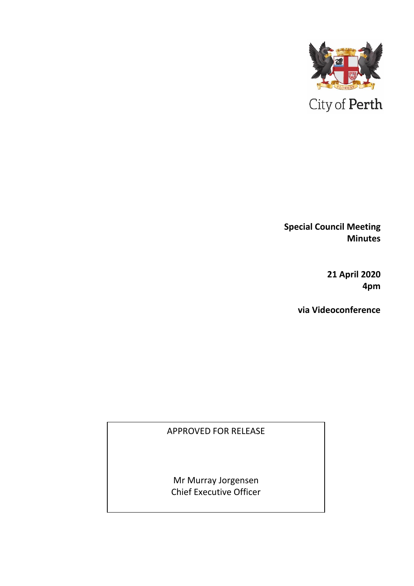

**Special Council Meeting Minutes** 

> **21 April 2020 4pm**

**via Videoconference**

## APPROVED FOR RELEASE

Mr Murray Jorgensen Chief Executive Officer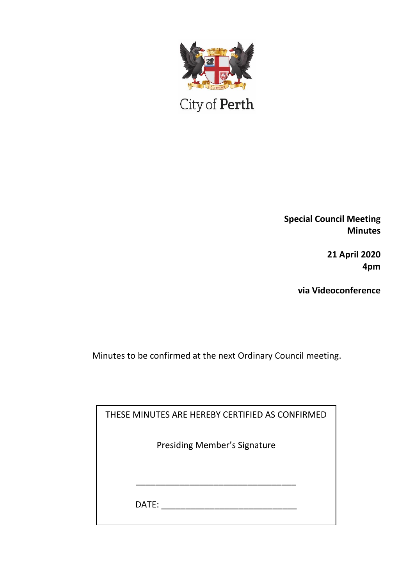

City of Perth

**Special Council Meeting Minutes**

> **21 April 2020 4pm**

**via Videoconference**

Minutes to be confirmed at the next Ordinary Council meeting.

| THESE MINUTES ARE HEREBY CERTIFIED AS CONFIRMED |  |
|-------------------------------------------------|--|
| <b>Presiding Member's Signature</b>             |  |
|                                                 |  |
| DATE:                                           |  |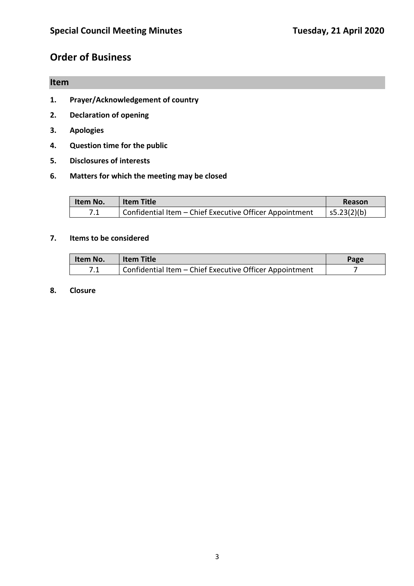# **Order of Business**

## **Item**

- **1. Prayer/Acknowledgement of country**
- **2. Declaration of opening**
- **3. Apologies**
- **4. Question time for the public**
- **5. Disclosures of interests**
- **6. Matters for which the meeting may be closed**

| <b>Item No.</b> | <b>Item Title</b>                                       | Reason          |
|-----------------|---------------------------------------------------------|-----------------|
| ¬ ⊿             | Confidential Item - Chief Executive Officer Appointment | $ $ s5.23(2)(b) |

#### **7. Items to be considered**

| Item No.                                                       | <b>Item Title</b> | Page |
|----------------------------------------------------------------|-------------------|------|
| Confidential Item - Chief Executive Officer Appointment<br>¬ ⊿ |                   |      |

#### **8. Closure**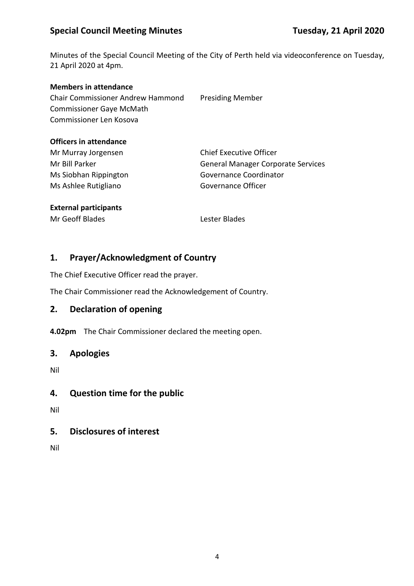## **Special Council Meeting Minutes Tuesday, 21 April 2020**

Minutes of the Special Council Meeting of the City of Perth held via videoconference on Tuesday, 21 April 2020 at 4pm.

#### **Members in attendance**

Chair Commissioner Andrew Hammond Presiding Member Commissioner Gaye McMath Commissioner Len Kosova

#### **Officers in attendance**

Mr Murray Jorgensen Chief Executive Officer Ms Ashlee Rutigliano Governance Officer

Mr Bill Parker General Manager Corporate Services Ms Siobhan Rippington Governance Coordinator

#### **External participants**

Mr Geoff Blades Lester Blades

### **1. Prayer/Acknowledgment of Country**

The Chief Executive Officer read the prayer.

The Chair Commissioner read the Acknowledgement of Country.

### **2. Declaration of opening**

**4.02pm** The Chair Commissioner declared the meeting open.

### **3. Apologies**

Nil

### **4. Question time for the public**

Nil

### **5. Disclosures of interest**

Nil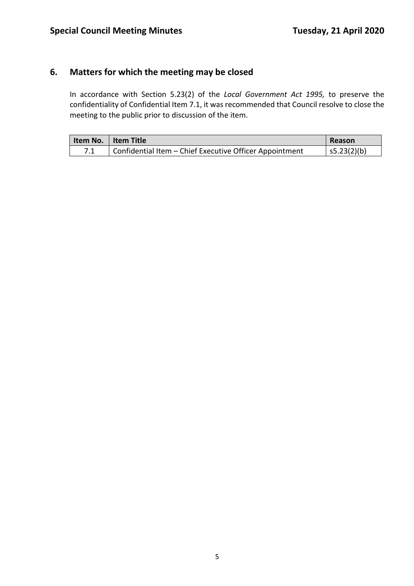## **6. Matters for which the meeting may be closed**

In accordance with Section 5.23(2) of the *Local Government Act 1995,* to preserve the confidentiality of Confidential Item 7.1, it was recommended that Council resolve to close the meeting to the public prior to discussion of the item.

|     | Item No.   Item Title                                   | Reason          |
|-----|---------------------------------------------------------|-----------------|
| 7.1 | Confidential Item – Chief Executive Officer Appointment | $ $ s5.23(2)(b) |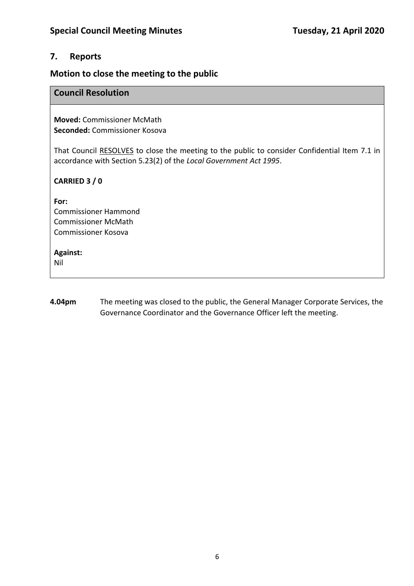### **7. Reports**

## **Motion to close the meeting to the public**

### **Council Resolution**

**Moved:** Commissioner McMath **Seconded:** Commissioner Kosova

That Council RESOLVES to close the meeting to the public to consider Confidential Item 7.1 in accordance with Section 5.23(2) of the *Local Government Act 1995*.

### **CARRIED 3 / 0**

**For:** 

Commissioner Hammond Commissioner McMath Commissioner Kosova

#### **Against:**

Nil

**4.04pm** The meeting was closed to the public, the General Manager Corporate Services, the Governance Coordinator and the Governance Officer left the meeting.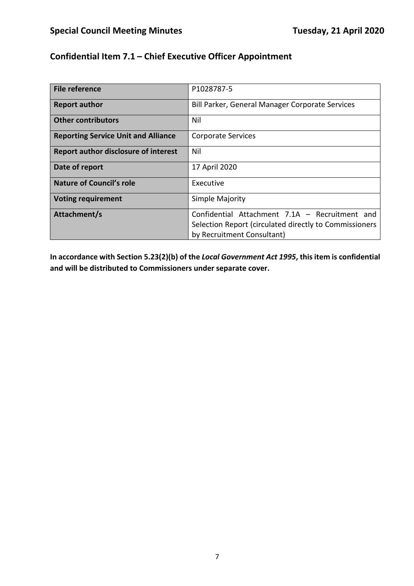## **Confidential Item 7.1 – Chief Executive Officer Appointment**

| File reference                              | P1028787-5                                                                                                                             |
|---------------------------------------------|----------------------------------------------------------------------------------------------------------------------------------------|
| <b>Report author</b>                        | Bill Parker, General Manager Corporate Services                                                                                        |
| <b>Other contributors</b>                   | Nil                                                                                                                                    |
| <b>Reporting Service Unit and Alliance</b>  | <b>Corporate Services</b>                                                                                                              |
| <b>Report author disclosure of interest</b> | Nil                                                                                                                                    |
| Date of report                              | 17 April 2020                                                                                                                          |
| Nature of Council's role                    | Executive                                                                                                                              |
| <b>Voting requirement</b>                   | Simple Majority                                                                                                                        |
| Attachment/s                                | Confidential Attachment 7.1A - Recruitment and<br>Selection Report (circulated directly to Commissioners<br>by Recruitment Consultant) |

**In accordance with Section 5.23(2)(b) of the** *Local Government Act 1995***, this item is confidential and will be distributed to Commissioners under separate cover.**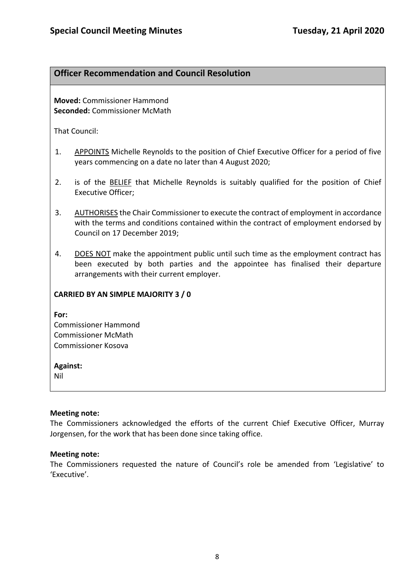### **Officer Recommendation and Council Resolution**

**Moved:** Commissioner Hammond **Seconded:** Commissioner McMath

That Council:

- 1. APPOINTS Michelle Reynolds to the position of Chief Executive Officer for a period of five years commencing on a date no later than 4 August 2020;
- 2. is of the BELIEF that Michelle Reynolds is suitably qualified for the position of Chief Executive Officer;
- 3. AUTHORISES the Chair Commissioner to execute the contract of employment in accordance with the terms and conditions contained within the contract of employment endorsed by Council on 17 December 2019;
- 4. DOES NOT make the appointment public until such time as the employment contract has been executed by both parties and the appointee has finalised their departure arrangements with their current employer.

### **CARRIED BY AN SIMPLE MAJORITY 3 / 0**

**For:** 

Commissioner Hammond Commissioner McMath Commissioner Kosova

#### **Against:**

Nil

### **Meeting note:**

The Commissioners acknowledged the efforts of the current Chief Executive Officer, Murray Jorgensen, for the work that has been done since taking office.

### **Meeting note:**

The Commissioners requested the nature of Council's role be amended from 'Legislative' to 'Executive'.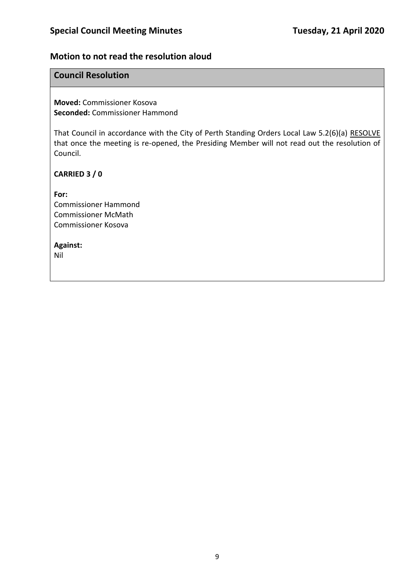### **Motion to not read the resolution aloud**

### **Council Resolution**

**Moved:** Commissioner Kosova **Seconded:** Commissioner Hammond

That Council in accordance with the City of Perth Standing Orders Local Law 5.2(6)(a) RESOLVE that once the meeting is re-opened, the Presiding Member will not read out the resolution of Council.

**CARRIED 3 / 0**

**For:**  Commissioner Hammond Commissioner McMath Commissioner Kosova

#### **Against:**

Nil